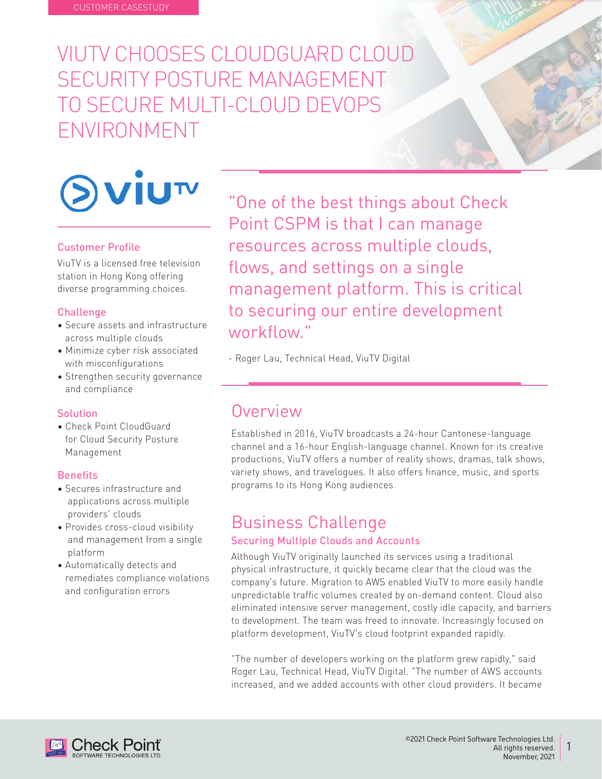# VIUTV CHOOSES CLOUDGUARD CLOUD SECURITY POSTURE MANAGEMENT TO SECURE MULTI-CLOUD DEVOPS ENVIRONMENT



#### **Customer Profile**

ViuTV is a licensed free television station in Hong Kong offering diverse programming choices.

#### **Challenge**

- Secure assets and infrastructure across multiple clouds
- Minimize cyber risk associated with misconfigurations
- Strengthen security governance and compliance

#### **Solution**

• Check Point CloudGuard for Cloud Security Posture Management

#### **Benefits**

- Secures infrastructure and applications across multiple providers' clouds
- Provides cross-cloud visibility and management from a single platform
- Automatically detects and remediates compliance violations and configuration errors

"One of the best things about Check Point CSPM is that I can manage resources across multiple clouds, flows, and settings on a single management platform. This is critical to securing our entire development ".workflow

- Roger Lau, Technical Head, ViuTV Digital

# Overview

Established in 2016, ViuTV broadcasts a 24-hour Cantonese-language channel and a 16-hour English-language channel. Known for its creative productions, ViuTV offers a number of reality shows, dramas, talk shows, variety shows, and travelogues. It also offers finance, music, and sports programs to its Hong Kong audiences.

# **Business Challenge**

#### **Securing Multiple Clouds and Accounts**

Although ViuTV originally launched its services using a traditional physical infrastructure, it quickly became clear that the cloud was the company's future. Migration to AWS enabled ViuTV to more easily handle unpredictable traffic volumes created by on-demand content. Cloud also eliminated intensive server management, costly idle capacity, and barriers to development. The team was freed to innovate. Increasingly focused on platform development, ViuTV's cloud footprint expanded rapidly.

"The number of developers working on the platform grew rapidly," said Roger Lau, Technical Head, ViuTV Digital. "The number of AWS accounts increased, and we added accounts with other cloud providers. It became

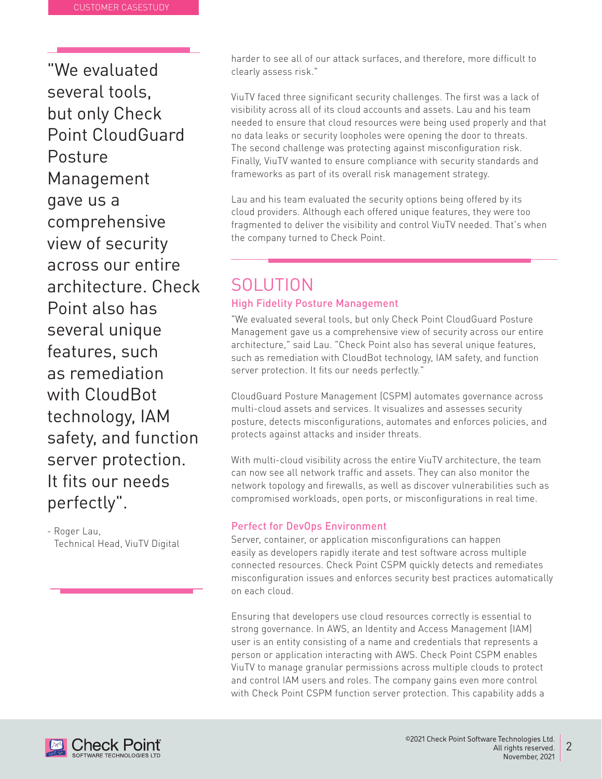"We evaluated several tools. but only Check Point CloudGuard Posture Management gave us a comprehensive view of security across our entire architecture. Check Point also has several unique features, such as remediation with CloudBot technology, IAM safety, and function server protection. It fits our needs perfectly".

- Roger Lau, Technical Head, ViuTV Digital harder to see all of our attack surfaces, and therefore, more difficult to clearly assess risk "

ViuTV faced three significant security challenges. The first was a lack of visibility across all of its cloud accounts and assets. Lau and his team needed to ensure that cloud resources were being used properly and that no data leaks or security loopholes were opening the door to threats. The second challenge was protecting against misconfiguration risk. Finally, ViuTV wanted to ensure compliance with security standards and frameworks as part of its overall risk management strategy.

Lau and his team evaluated the security options being offered by its cloud providers. Although each offered unique features, they were too fragmented to deliver the visibility and control ViuTV needed. That's when the company turned to Check Point.

## **SOLUTION High Fidelity Posture Management**

"We evaluated several tools, but only Check Point CloudGuard Posture Management gave us a comprehensive view of security across our entire architecture," said Lau. "Check Point also has several unique features, such as remediation with CloudBot technology, IAM safety, and function server protection. It fits our needs perfectly."

CloudGuard Posture Management (CSPM) automates governance across multi-cloud assets and services. It visualizes and assesses security posture, detects misconfigurations, automates and enforces policies, and protects against attacks and insider threats.

With multi-cloud visibility across the entire ViuTV architecture, the team can now see all network traffic and assets. They can also monitor the network topology and firewalls, as well as discover vulnerabilities such as compromised workloads, open ports, or misconfigurations in real time.

### Perfect for DevOps Environment

Server, container, or application misconfigurations can happen easily as developers rapidly iterate and test software across multiple connected resources. Check Point CSPM quickly detects and remediates misconfiguration issues and enforces security best practices automatically on each cloud.

Ensuring that developers use cloud resources correctly is essential to strong governance. In AWS, an Identity and Access Management (IAM) user is an entity consisting of a name and credentials that represents a person or application interacting with AWS. Check Point CSPM enables ViuTV to manage granular permissions across multiple clouds to protect and control IAM users and roles. The company gains even more control with Check Point CSPM function server protection. This capability adds a